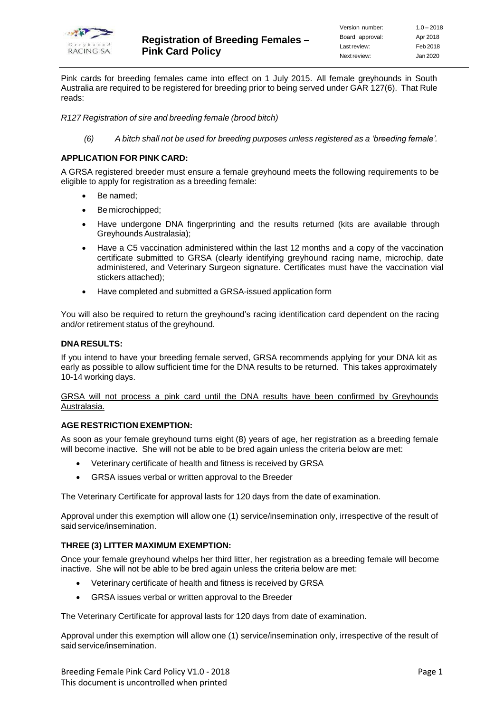

Pink cards for breeding females came into effect on 1 July 2015. All female greyhounds in South Australia are required to be registered for breeding prior to being served under GAR 127(6). That Rule reads:

*R127 Registration of sire and breeding female (brood bitch)*

*(6) A bitch shall not be used for breeding purposes unless registered as a 'breeding female'.*

## **APPLICATION FOR PINK CARD:**

A GRSA registered breeder must ensure a female greyhound meets the following requirements to be eligible to apply for registration as a breeding female:

- Be named;
- Be microchipped;
- Have undergone DNA fingerprinting and the results returned (kits are available through Greyhounds Australasia);
- Have a C5 vaccination administered within the last 12 months and a copy of the vaccination certificate submitted to GRSA (clearly identifying greyhound racing name, microchip, date administered, and Veterinary Surgeon signature. Certificates must have the vaccination vial stickers attached);
- Have completed and submitted a GRSA-issued application form

You will also be required to return the greyhound's racing identification card dependent on the racing and/or retirement status of the greyhound.

## **DNARESULTS:**

If you intend to have your breeding female served, GRSA recommends applying for your DNA kit as early as possible to allow sufficient time for the DNA results to be returned. This takes approximately 10-14 working days.

### GRSA will not process a pink card until the DNA results have been confirmed by Greyhounds Australasia.

## **AGE RESTRICTION EXEMPTION:**

As soon as your female greyhound turns eight (8) years of age, her registration as a breeding female will become inactive. She will not be able to be bred again unless the criteria below are met:

- Veterinary certificate of health and fitness is received by GRSA
- GRSA issues verbal or written approval to the Breeder

The Veterinary Certificate for approval lasts for 120 days from the date of examination.

Approval under this exemption will allow one (1) service/insemination only, irrespective of the result of said service/insemination.

# **THREE (3) LITTER MAXIMUM EXEMPTION:**

Once your female greyhound whelps her third litter, her registration as a breeding female will become inactive. She will not be able to be bred again unless the criteria below are met:

- Veterinary certificate of health and fitness is received by GRSA
- GRSA issues verbal or written approval to the Breeder

The Veterinary Certificate for approval lasts for 120 days from date of examination.

Approval under this exemption will allow one (1) service/insemination only, irrespective of the result of said service/insemination.